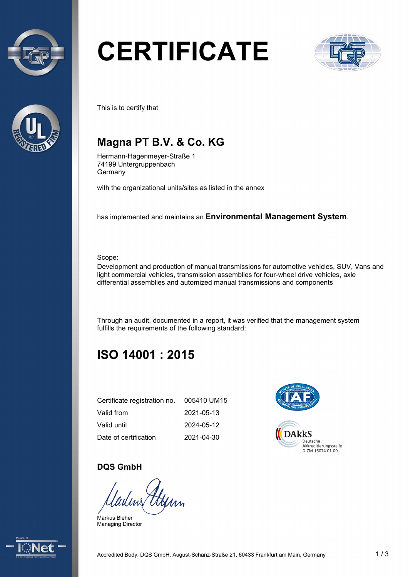



# **CERTIFICATE**



This is to certify that

# **Magna PT B.V. & Co. KG**

Hermann-Hagenmeyer-Straße 1 74199 Untergruppenbach Germany

with the organizational units/sites as listed in the annex

has implemented and maintains an **Environmental Management System**.

Scope:

 Development and production of manual transmissions for automotive vehicles, SUV, Vans and light commercial vehicles, transmission assemblies for four-wheel drive vehicles, axle differential assemblies and automized manual transmissions and components

 Through an audit, documented in a report, it was verified that the management system fulfills the requirements of the following standard:

# **ISO 14001 : 2015**

| Certificate registration no. | 005410 UM15 |
|------------------------------|-------------|
| Valid from                   | 2021-05-13  |
| Valid until                  | 2024-05-12  |
| Date of certification        | 2021-04-30  |



#### **DQS GmbH**

Uyim

Markus Bleher Managing Director

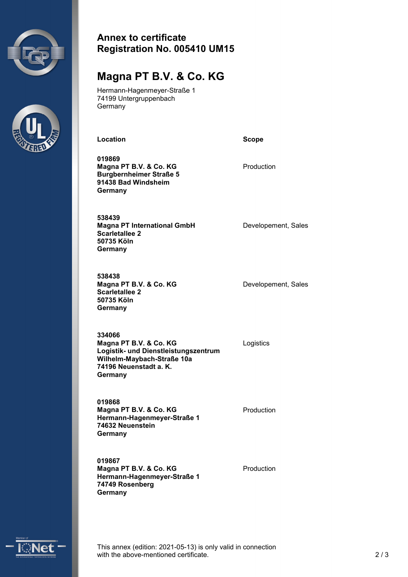



#### **Annex to certificate Registration No. 005410 UM15**

### **Magna PT B.V. & Co. KG**

Hermann-Hagenmeyer-Straße 1 74199 Untergruppenbach **Germany** 

Location **Scope Scope** 

**019869 Magna PT B.V. & Co. KG Burgbernheimer Straße 5 91438 Bad Windsheim Germany** 

Production

**538439 Magna PT International GmbH Scarletallee 2 50735 Köln Germany** 

**538438 Magna PT B.V. & Co. KG Scarletallee 2 50735 Köln Germany** 

Developement, Sales

Developement, Sales

**Logistik- und Dienstleistungszentrum Wilhelm-Maybach-Straße 10a 334066 Magna PT B.V. & Co. KG** Logistics **74196 Neuenstadt a. K. Germany** 

**019868 Magna PT B.V. & Co. KG Hermann-Hagenmeyer-Straße 1 74632 Neuenstein Germany** 

**019867 Magna PT B.V. & Co. KG Hermann-Hagenmeyer-Straße 1 74749 Rosenberg Germany** 

Production

Production



 This annex (edition: 2021-05-13) is only valid in connection with the above-mentioned certificate. 2 / 3